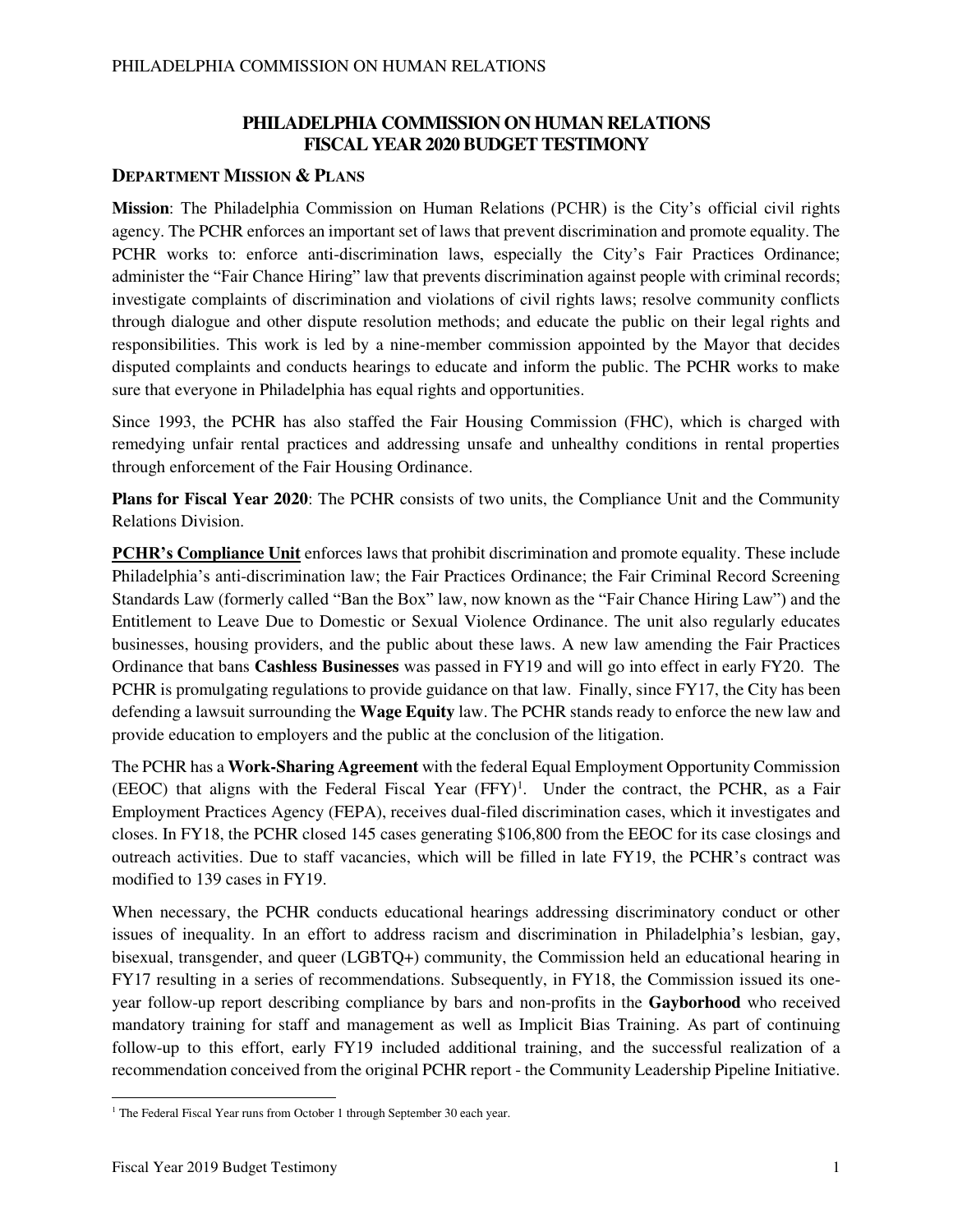### **PHILADELPHIA COMMISSION ON HUMAN RELATIONS FISCAL YEAR 2020 BUDGET TESTIMONY**

#### **DEPARTMENT MISSION & PLANS**

**Mission**: The Philadelphia Commission on Human Relations (PCHR) is the City's official civil rights agency. The PCHR enforces an important set of laws that prevent discrimination and promote equality. The PCHR works to: enforce anti-discrimination laws, especially the City's Fair Practices Ordinance; administer the "Fair Chance Hiring" law that prevents discrimination against people with criminal records; investigate complaints of discrimination and violations of civil rights laws; resolve community conflicts through dialogue and other dispute resolution methods; and educate the public on their legal rights and responsibilities. This work is led by a nine-member commission appointed by the Mayor that decides disputed complaints and conducts hearings to educate and inform the public. The PCHR works to make sure that everyone in Philadelphia has equal rights and opportunities.

Since 1993, the PCHR has also staffed the Fair Housing Commission (FHC), which is charged with remedying unfair rental practices and addressing unsafe and unhealthy conditions in rental properties through enforcement of the Fair Housing Ordinance.

**Plans for Fiscal Year 2020**: The PCHR consists of two units, the Compliance Unit and the Community Relations Division.

**PCHR's Compliance Unit** enforces laws that prohibit discrimination and promote equality. These include Philadelphia's anti-discrimination law; the Fair Practices Ordinance; the Fair Criminal Record Screening Standards Law (formerly called "Ban the Box" law, now known as the "Fair Chance Hiring Law") and the Entitlement to Leave Due to Domestic or Sexual Violence Ordinance. The unit also regularly educates businesses, housing providers, and the public about these laws. A new law amending the Fair Practices Ordinance that bans **Cashless Businesses** was passed in FY19 and will go into effect in early FY20. The PCHR is promulgating regulations to provide guidance on that law. Finally, since FY17, the City has been defending a lawsuit surrounding the **Wage Equity** law. The PCHR stands ready to enforce the new law and provide education to employers and the public at the conclusion of the litigation.

The PCHR has a **Work-Sharing Agreement** with the federal Equal Employment Opportunity Commission  $(EEOC)$  that aligns with the Federal Fiscal Year  $(FFY)^1$ . Under the contract, the PCHR, as a Fair Employment Practices Agency (FEPA), receives dual-filed discrimination cases, which it investigates and closes. In FY18, the PCHR closed 145 cases generating \$106,800 from the EEOC for its case closings and outreach activities. Due to staff vacancies, which will be filled in late FY19, the PCHR's contract was modified to 139 cases in FY19.

When necessary, the PCHR conducts educational hearings addressing discriminatory conduct or other issues of inequality. In an effort to address racism and discrimination in Philadelphia's lesbian, gay, bisexual, transgender, and queer (LGBTQ+) community, the Commission held an educational hearing in FY17 resulting in a series of recommendations. Subsequently, in FY18, the Commission issued its oneyear follow-up report describing compliance by bars and non-profits in the **Gayborhood** who received mandatory training for staff and management as well as Implicit Bias Training. As part of continuing follow-up to this effort, early FY19 included additional training, and the successful realization of a recommendation conceived from the original PCHR report - the Community Leadership Pipeline Initiative.

 $\overline{a}$ <sup>1</sup> The Federal Fiscal Year runs from October 1 through September 30 each year.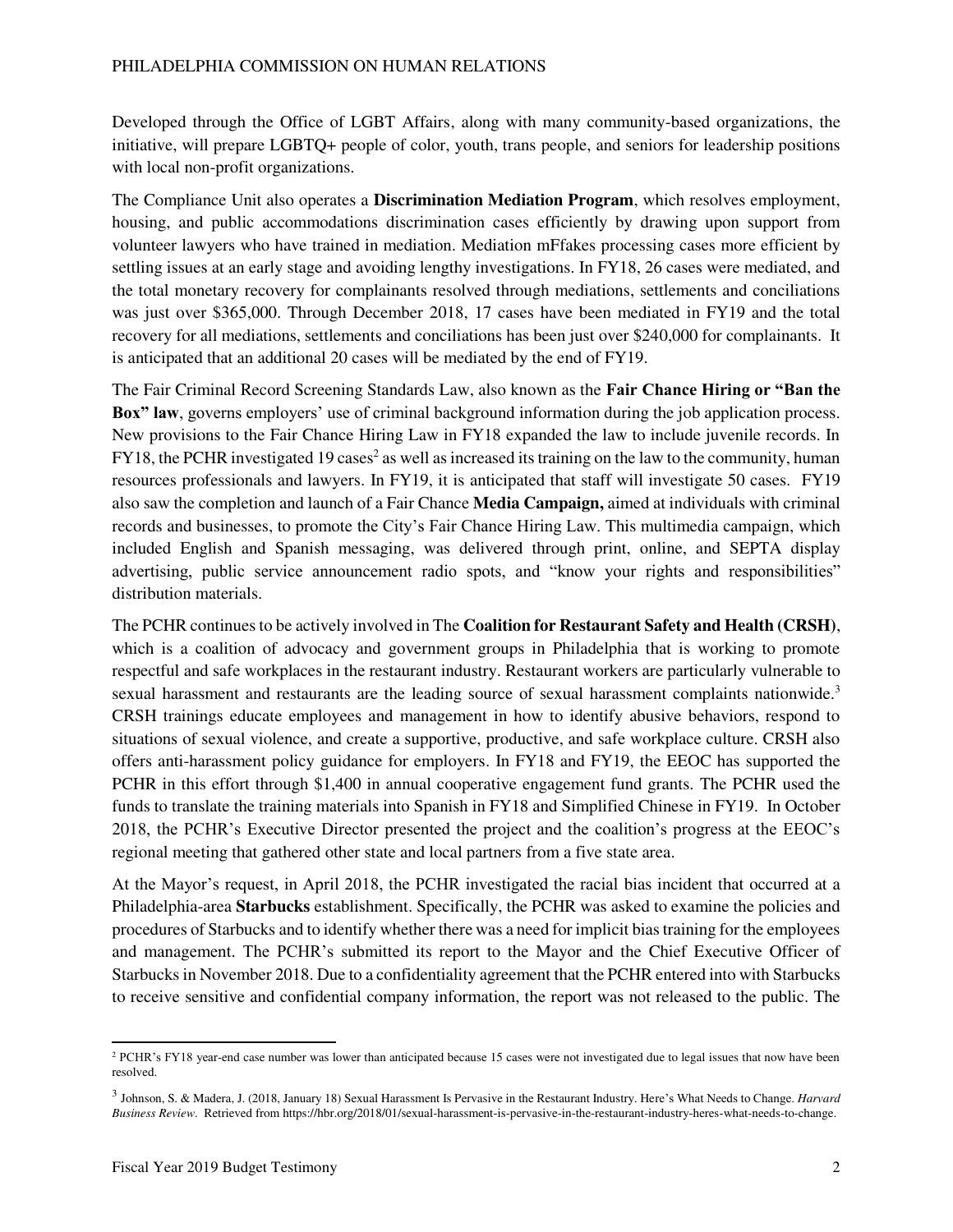Developed through the Office of LGBT Affairs, along with many community-based organizations, the initiative, will prepare LGBTQ+ people of color, youth, trans people, and seniors for leadership positions with local non-profit organizations.

The Compliance Unit also operates a **Discrimination Mediation Program**, which resolves employment, housing, and public accommodations discrimination cases efficiently by drawing upon support from volunteer lawyers who have trained in mediation. Mediation mFfakes processing cases more efficient by settling issues at an early stage and avoiding lengthy investigations. In FY18, 26 cases were mediated, and the total monetary recovery for complainants resolved through mediations, settlements and conciliations was just over \$365,000. Through December 2018, 17 cases have been mediated in FY19 and the total recovery for all mediations, settlements and conciliations has been just over \$240,000 for complainants. It is anticipated that an additional 20 cases will be mediated by the end of FY19.

The Fair Criminal Record Screening Standards Law, also known as the **Fair Chance Hiring or "Ban the Box" law**, governs employers' use of criminal background information during the job application process. New provisions to the Fair Chance Hiring Law in FY18 expanded the law to include juvenile records. In FY18, the PCHR investigated 19 cases<sup>2</sup> as well as increased its training on the law to the community, human resources professionals and lawyers. In FY19, it is anticipated that staff will investigate 50 cases. FY19 also saw the completion and launch of a Fair Chance **Media Campaign,** aimed at individuals with criminal records and businesses, to promote the City's Fair Chance Hiring Law. This multimedia campaign, which included English and Spanish messaging, was delivered through print, online, and SEPTA display advertising, public service announcement radio spots, and "know your rights and responsibilities" distribution materials.

The PCHR continues to be actively involved in The **Coalition for Restaurant Safety and Health (CRSH)**, which is a coalition of advocacy and government groups in Philadelphia that is working to promote respectful and safe workplaces in the restaurant industry. Restaurant workers are particularly vulnerable to sexual harassment and restaurants are the leading source of sexual harassment complaints nationwide.<sup>3</sup> CRSH trainings educate employees and management in how to identify abusive behaviors, respond to situations of sexual violence, and create a supportive, productive, and safe workplace culture. CRSH also offers anti-harassment policy guidance for employers. In FY18 and FY19, the EEOC has supported the PCHR in this effort through \$1,400 in annual cooperative engagement fund grants. The PCHR used the funds to translate the training materials into Spanish in FY18 and Simplified Chinese in FY19. In October 2018, the PCHR's Executive Director presented the project and the coalition's progress at the EEOC's regional meeting that gathered other state and local partners from a five state area.

At the Mayor's request, in April 2018, the PCHR investigated the racial bias incident that occurred at a Philadelphia-area **Starbucks** establishment. Specifically, the PCHR was asked to examine the policies and procedures of Starbucks and to identify whether there was a need for implicit bias training for the employees and management. The PCHR's submitted its report to the Mayor and the Chief Executive Officer of Starbucks in November 2018. Due to a confidentiality agreement that the PCHR entered into with Starbucks to receive sensitive and confidential company information, the report was not released to the public. The

 $\overline{a}$ 

<sup>&</sup>lt;sup>2</sup> PCHR's FY18 year-end case number was lower than anticipated because 15 cases were not investigated due to legal issues that now have been resolved.

<sup>3</sup> Johnson, S. & Madera, J. (2018, January 18) Sexual Harassment Is Pervasive in the Restaurant Industry. Here's What Needs to Change. *Harvard Business Review*. Retrieved from https://hbr.org/2018/01/sexual-harassment-is-pervasive-in-the-restaurant-industry-heres-what-needs-to-change.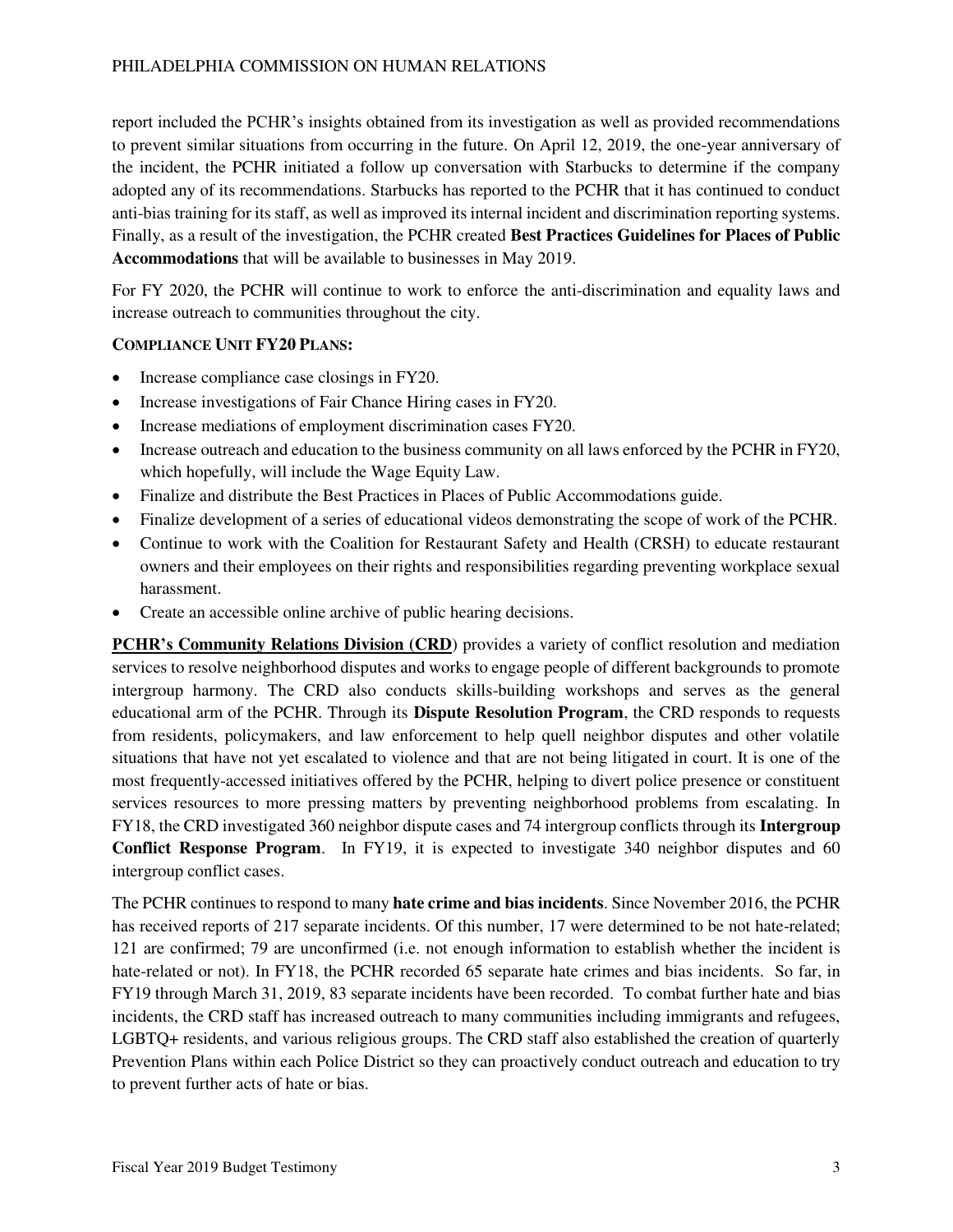report included the PCHR's insights obtained from its investigation as well as provided recommendations to prevent similar situations from occurring in the future. On April 12, 2019, the one-year anniversary of the incident, the PCHR initiated a follow up conversation with Starbucks to determine if the company adopted any of its recommendations. Starbucks has reported to the PCHR that it has continued to conduct anti-bias training for its staff, as well as improved its internal incident and discrimination reporting systems. Finally, as a result of the investigation, the PCHR created **Best Practices Guidelines for Places of Public Accommodations** that will be available to businesses in May 2019.

For FY 2020, the PCHR will continue to work to enforce the anti-discrimination and equality laws and increase outreach to communities throughout the city.

#### **COMPLIANCE UNIT FY20 PLANS:**

- Increase compliance case closings in FY20.
- Increase investigations of Fair Chance Hiring cases in FY20.
- Increase mediations of employment discrimination cases FY20.
- Increase outreach and education to the business community on all laws enforced by the PCHR in FY20, which hopefully, will include the Wage Equity Law.
- Finalize and distribute the Best Practices in Places of Public Accommodations guide.
- Finalize development of a series of educational videos demonstrating the scope of work of the PCHR.
- Continue to work with the Coalition for Restaurant Safety and Health (CRSH) to educate restaurant owners and their employees on their rights and responsibilities regarding preventing workplace sexual harassment.
- Create an accessible online archive of public hearing decisions.

**PCHR's Community Relations Division (CRD**) provides a variety of conflict resolution and mediation services to resolve neighborhood disputes and works to engage people of different backgrounds to promote intergroup harmony. The CRD also conducts skills-building workshops and serves as the general educational arm of the PCHR. Through its **Dispute Resolution Program**, the CRD responds to requests from residents, policymakers, and law enforcement to help quell neighbor disputes and other volatile situations that have not yet escalated to violence and that are not being litigated in court. It is one of the most frequently-accessed initiatives offered by the PCHR, helping to divert police presence or constituent services resources to more pressing matters by preventing neighborhood problems from escalating. In FY18, the CRD investigated 360 neighbor dispute cases and 74 intergroup conflicts through its **Intergroup Conflict Response Program**. In FY19, it is expected to investigate 340 neighbor disputes and 60 intergroup conflict cases.

The PCHR continues to respond to many **hate crime and bias incidents**. Since November 2016, the PCHR has received reports of 217 separate incidents. Of this number, 17 were determined to be not hate-related; 121 are confirmed; 79 are unconfirmed (i.e. not enough information to establish whether the incident is hate-related or not). In FY18, the PCHR recorded 65 separate hate crimes and bias incidents. So far, in FY19 through March 31, 2019, 83 separate incidents have been recorded.To combat further hate and bias incidents, the CRD staff has increased outreach to many communities including immigrants and refugees, LGBTQ+ residents, and various religious groups. The CRD staff also established the creation of quarterly Prevention Plans within each Police District so they can proactively conduct outreach and education to try to prevent further acts of hate or bias.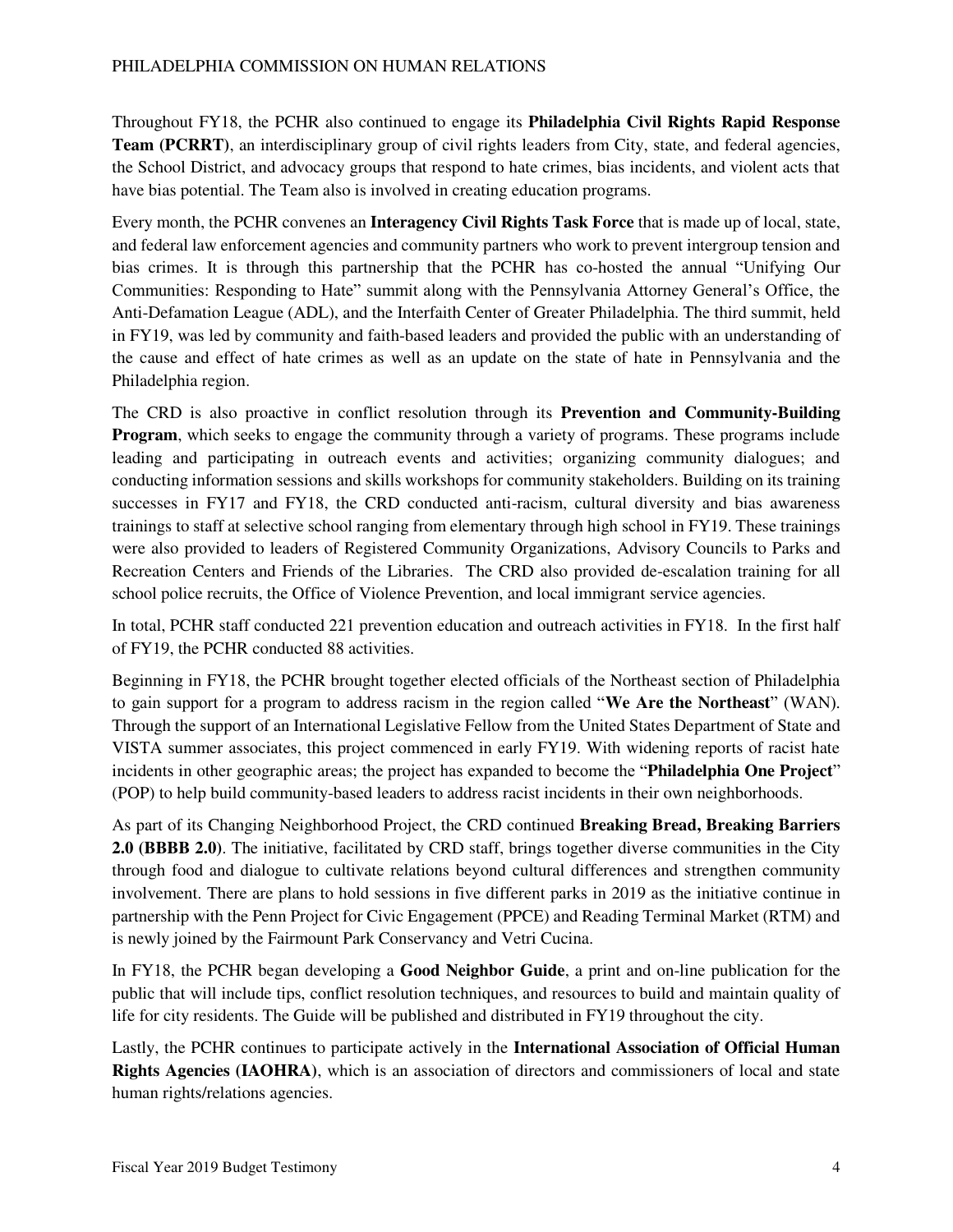#### PHILADELPHIA COMMISSION ON HUMAN RELATIONS

Throughout FY18, the PCHR also continued to engage its **Philadelphia Civil Rights Rapid Response Team (PCRRT)**, an interdisciplinary group of civil rights leaders from City, state, and federal agencies, the School District, and advocacy groups that respond to hate crimes, bias incidents, and violent acts that have bias potential. The Team also is involved in creating education programs.

Every month, the PCHR convenes an **Interagency Civil Rights Task Force** that is made up of local, state, and federal law enforcement agencies and community partners who work to prevent intergroup tension and bias crimes. It is through this partnership that the PCHR has co-hosted the annual "Unifying Our Communities: Responding to Hate" summit along with the Pennsylvania Attorney General's Office, the Anti-Defamation League (ADL), and the Interfaith Center of Greater Philadelphia. The third summit, held in FY19, was led by community and faith-based leaders and provided the public with an understanding of the cause and effect of hate crimes as well as an update on the state of hate in Pennsylvania and the Philadelphia region.

The CRD is also proactive in conflict resolution through its **Prevention and Community-Building Program**, which seeks to engage the community through a variety of programs. These programs include leading and participating in outreach events and activities; organizing community dialogues; and conducting information sessions and skills workshops for community stakeholders. Building on its training successes in FY17 and FY18, the CRD conducted anti-racism, cultural diversity and bias awareness trainings to staff at selective school ranging from elementary through high school in FY19. These trainings were also provided to leaders of Registered Community Organizations, Advisory Councils to Parks and Recreation Centers and Friends of the Libraries. The CRD also provided de-escalation training for all school police recruits, the Office of Violence Prevention, and local immigrant service agencies.

In total, PCHR staff conducted 221 prevention education and outreach activities in FY18. In the first half of FY19, the PCHR conducted 88 activities.

Beginning in FY18, the PCHR brought together elected officials of the Northeast section of Philadelphia to gain support for a program to address racism in the region called "**We Are the Northeast**" (WAN). Through the support of an International Legislative Fellow from the United States Department of State and VISTA summer associates, this project commenced in early FY19. With widening reports of racist hate incidents in other geographic areas; the project has expanded to become the "**Philadelphia One Project**" (POP) to help build community-based leaders to address racist incidents in their own neighborhoods.

As part of its Changing Neighborhood Project, the CRD continued **Breaking Bread, Breaking Barriers 2.0 (BBBB 2.0)**. The initiative, facilitated by CRD staff, brings together diverse communities in the City through food and dialogue to cultivate relations beyond cultural differences and strengthen community involvement. There are plans to hold sessions in five different parks in 2019 as the initiative continue in partnership with the Penn Project for Civic Engagement (PPCE) and Reading Terminal Market (RTM) and is newly joined by the Fairmount Park Conservancy and Vetri Cucina.

In FY18, the PCHR began developing a **Good Neighbor Guide**, a print and on-line publication for the public that will include tips, conflict resolution techniques, and resources to build and maintain quality of life for city residents. The Guide will be published and distributed in FY19 throughout the city.

Lastly, the PCHR continues to participate actively in the **International Association of Official Human Rights Agencies (IAOHRA)**, which is an association of directors and commissioners of local and state human rights/relations agencies.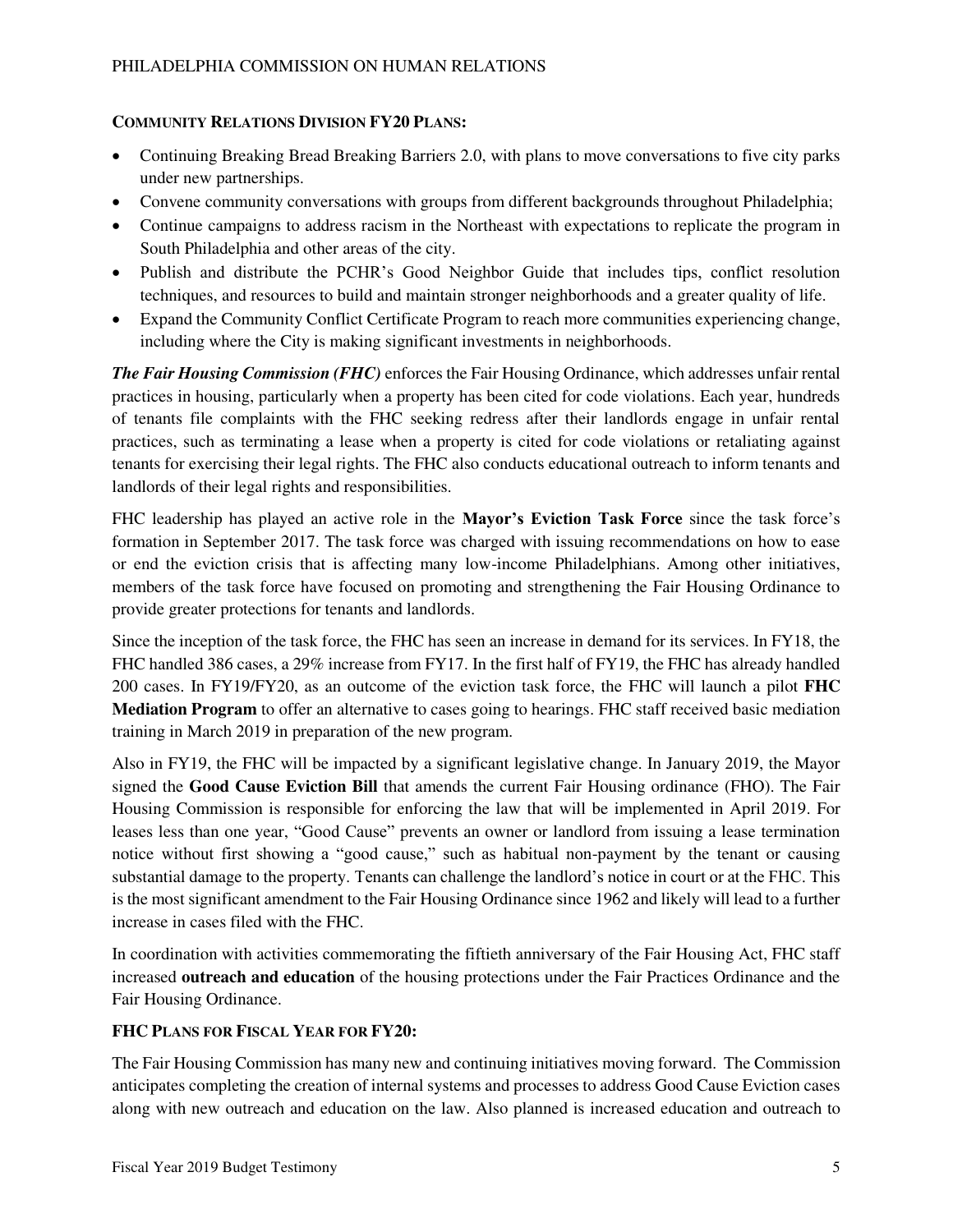#### **COMMUNITY RELATIONS DIVISION FY20 PLANS:**

- Continuing Breaking Bread Breaking Barriers 2.0, with plans to move conversations to five city parks under new partnerships.
- Convene community conversations with groups from different backgrounds throughout Philadelphia;
- Continue campaigns to address racism in the Northeast with expectations to replicate the program in South Philadelphia and other areas of the city.
- Publish and distribute the PCHR's Good Neighbor Guide that includes tips, conflict resolution techniques, and resources to build and maintain stronger neighborhoods and a greater quality of life.
- Expand the Community Conflict Certificate Program to reach more communities experiencing change, including where the City is making significant investments in neighborhoods.

*The Fair Housing Commission (FHC)* enforces the Fair Housing Ordinance, which addresses unfair rental practices in housing, particularly when a property has been cited for code violations. Each year, hundreds of tenants file complaints with the FHC seeking redress after their landlords engage in unfair rental practices, such as terminating a lease when a property is cited for code violations or retaliating against tenants for exercising their legal rights. The FHC also conducts educational outreach to inform tenants and landlords of their legal rights and responsibilities.

FHC leadership has played an active role in the **Mayor's Eviction Task Force** since the task force's formation in September 2017. The task force was charged with issuing recommendations on how to ease or end the eviction crisis that is affecting many low-income Philadelphians. Among other initiatives, members of the task force have focused on promoting and strengthening the Fair Housing Ordinance to provide greater protections for tenants and landlords.

Since the inception of the task force, the FHC has seen an increase in demand for its services. In FY18, the FHC handled 386 cases, a 29% increase from FY17. In the first half of FY19, the FHC has already handled 200 cases. In FY19/FY20, as an outcome of the eviction task force, the FHC will launch a pilot **FHC Mediation Program** to offer an alternative to cases going to hearings. FHC staff received basic mediation training in March 2019 in preparation of the new program.

Also in FY19, the FHC will be impacted by a significant legislative change. In January 2019, the Mayor signed the **Good Cause Eviction Bill** that amends the current Fair Housing ordinance (FHO). The Fair Housing Commission is responsible for enforcing the law that will be implemented in April 2019. For leases less than one year, "Good Cause" prevents an owner or landlord from issuing a lease termination notice without first showing a "good cause," such as habitual non-payment by the tenant or causing substantial damage to the property. Tenants can challenge the landlord's notice in court or at the FHC. This is the most significant amendment to the Fair Housing Ordinance since 1962 and likely will lead to a further increase in cases filed with the FHC.

In coordination with activities commemorating the fiftieth anniversary of the Fair Housing Act, FHC staff increased **outreach and education** of the housing protections under the Fair Practices Ordinance and the Fair Housing Ordinance.

#### **FHC PLANS FOR FISCAL YEAR FOR FY20:**

The Fair Housing Commission has many new and continuing initiatives moving forward. The Commission anticipates completing the creation of internal systems and processes to address Good Cause Eviction cases along with new outreach and education on the law. Also planned is increased education and outreach to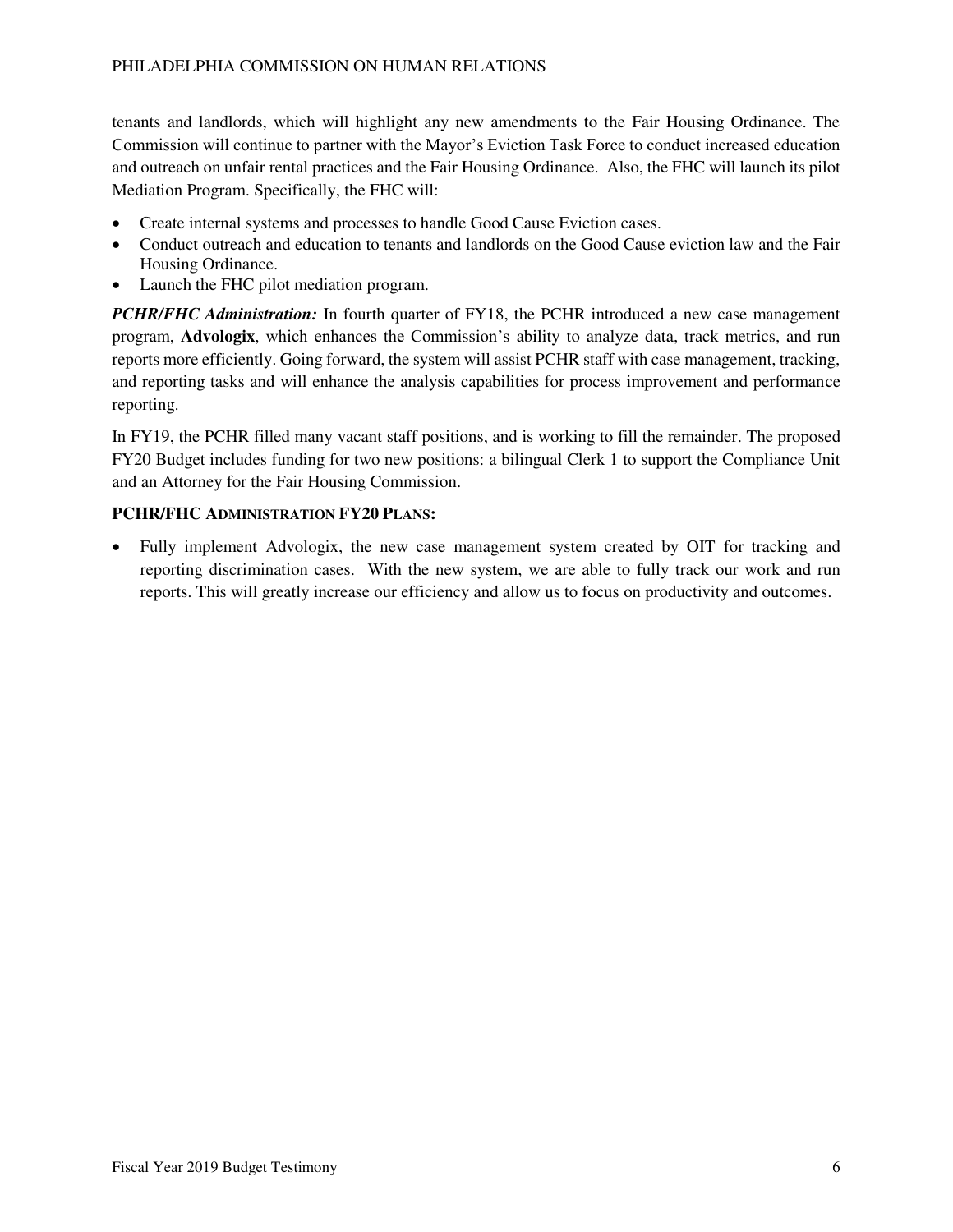tenants and landlords, which will highlight any new amendments to the Fair Housing Ordinance. The Commission will continue to partner with the Mayor's Eviction Task Force to conduct increased education and outreach on unfair rental practices and the Fair Housing Ordinance. Also, the FHC will launch its pilot Mediation Program. Specifically, the FHC will:

- Create internal systems and processes to handle Good Cause Eviction cases.
- Conduct outreach and education to tenants and landlords on the Good Cause eviction law and the Fair Housing Ordinance.
- Launch the FHC pilot mediation program.

*PCHR/FHC Administration:* In fourth quarter of FY18, the PCHR introduced a new case management program, **Advologix**, which enhances the Commission's ability to analyze data, track metrics, and run reports more efficiently. Going forward, the system will assist PCHR staff with case management, tracking, and reporting tasks and will enhance the analysis capabilities for process improvement and performance reporting.

In FY19, the PCHR filled many vacant staff positions, and is working to fill the remainder. The proposed FY20 Budget includes funding for two new positions: a bilingual Clerk 1 to support the Compliance Unit and an Attorney for the Fair Housing Commission.

### **PCHR/FHC ADMINISTRATION FY20 PLANS:**

• Fully implement Advologix, the new case management system created by OIT for tracking and reporting discrimination cases. With the new system, we are able to fully track our work and run reports. This will greatly increase our efficiency and allow us to focus on productivity and outcomes.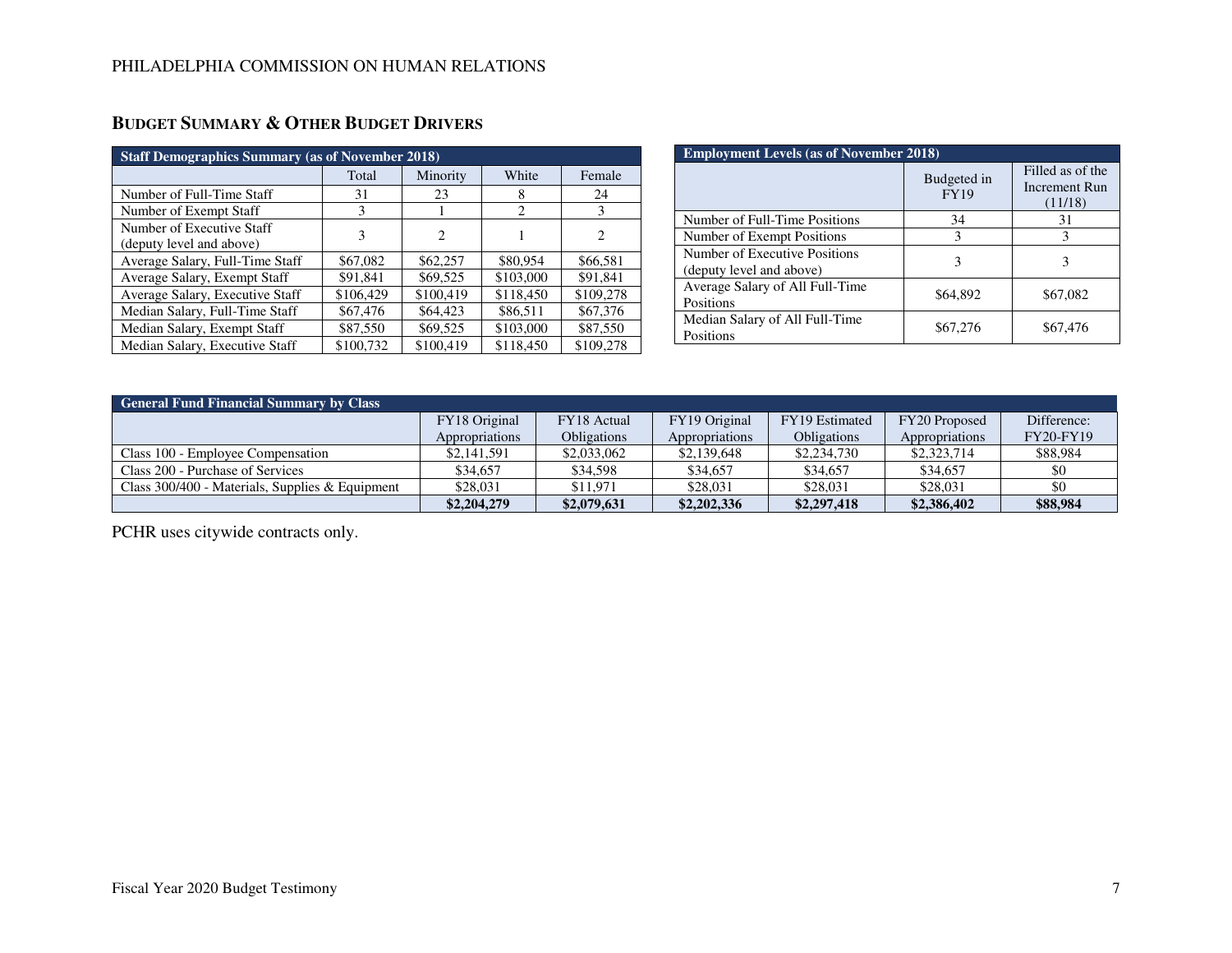| <b>Staff Demographics Summary (as of November 2018)</b> |           |                             |           |           |  |
|---------------------------------------------------------|-----------|-----------------------------|-----------|-----------|--|
|                                                         | Total     | Minority                    | White     | Female    |  |
| Number of Full-Time Staff                               | 31        | 23                          | 8         | 24        |  |
| Number of Exempt Staff                                  | 3         |                             | 2         | 3         |  |
| Number of Executive Staff<br>(deputy level and above)   | 3         | $\mathcal{D}_{\mathcal{A}}$ |           | 2         |  |
| Average Salary, Full-Time Staff                         | \$67,082  | \$62,257                    | \$80,954  | \$66,581  |  |
| Average Salary, Exempt Staff                            | \$91,841  | \$69,525                    | \$103,000 | \$91,841  |  |
| Average Salary, Executive Staff                         | \$106,429 | \$100,419                   | \$118,450 | \$109,278 |  |
| Median Salary, Full-Time Staff                          | \$67,476  | \$64,423                    | \$86,511  | \$67,376  |  |
| Median Salary, Exempt Staff                             | \$87,550  | \$69,525                    | \$103,000 | \$87,550  |  |
| Median Salary, Executive Staff                          | \$100,732 | \$100,419                   | \$118,450 | \$109,278 |  |

# **BUDGET SUMMARY & OTHER BUDGET DRIVERS**

| <b>Employment Levels (as of November 2018)</b>            |                            |                                              |  |  |
|-----------------------------------------------------------|----------------------------|----------------------------------------------|--|--|
|                                                           | Budgeted in<br><b>FY19</b> | Filled as of the<br>Increment Run<br>(11/18) |  |  |
| Number of Full-Time Positions                             | 34                         | 31                                           |  |  |
| Number of Exempt Positions                                | 3                          |                                              |  |  |
| Number of Executive Positions<br>(deputy level and above) | 3                          | 3                                            |  |  |
| Average Salary of All Full-Time<br>Positions              | \$64,892                   | \$67,082                                     |  |  |
| Median Salary of All Full-Time<br>Positions               | \$67,276                   | \$67,476                                     |  |  |

| <b>General Fund Financial Summary by Class</b>  |                |                    |                |                    |                |                  |
|-------------------------------------------------|----------------|--------------------|----------------|--------------------|----------------|------------------|
|                                                 | FY18 Original  | FY18 Actual        | FY19 Original  | FY19 Estimated     | FY20 Proposed  | Difference:      |
|                                                 | Appropriations | <b>Obligations</b> | Appropriations | <b>Obligations</b> | Appropriations | <b>FY20-FY19</b> |
| Class 100 - Employee Compensation               | \$2,141,591    | \$2,033,062        | \$2,139,648    | \$2,234,730        | \$2,323,714    | \$88,984         |
| Class 200 - Purchase of Services                | \$34,657       | \$34,598           | \$34,657       | \$34,657           | \$34,657       | \$0              |
| Class 300/400 - Materials, Supplies & Equipment | \$28,031       | \$11.971           | \$28,031       | \$28,031           | \$28,031       | \$0              |
|                                                 | \$2,204,279    | \$2,079,631        | \$2,202,336    | \$2,297,418        | \$2,386,402    | \$88,984         |

PCHR uses citywide contracts only.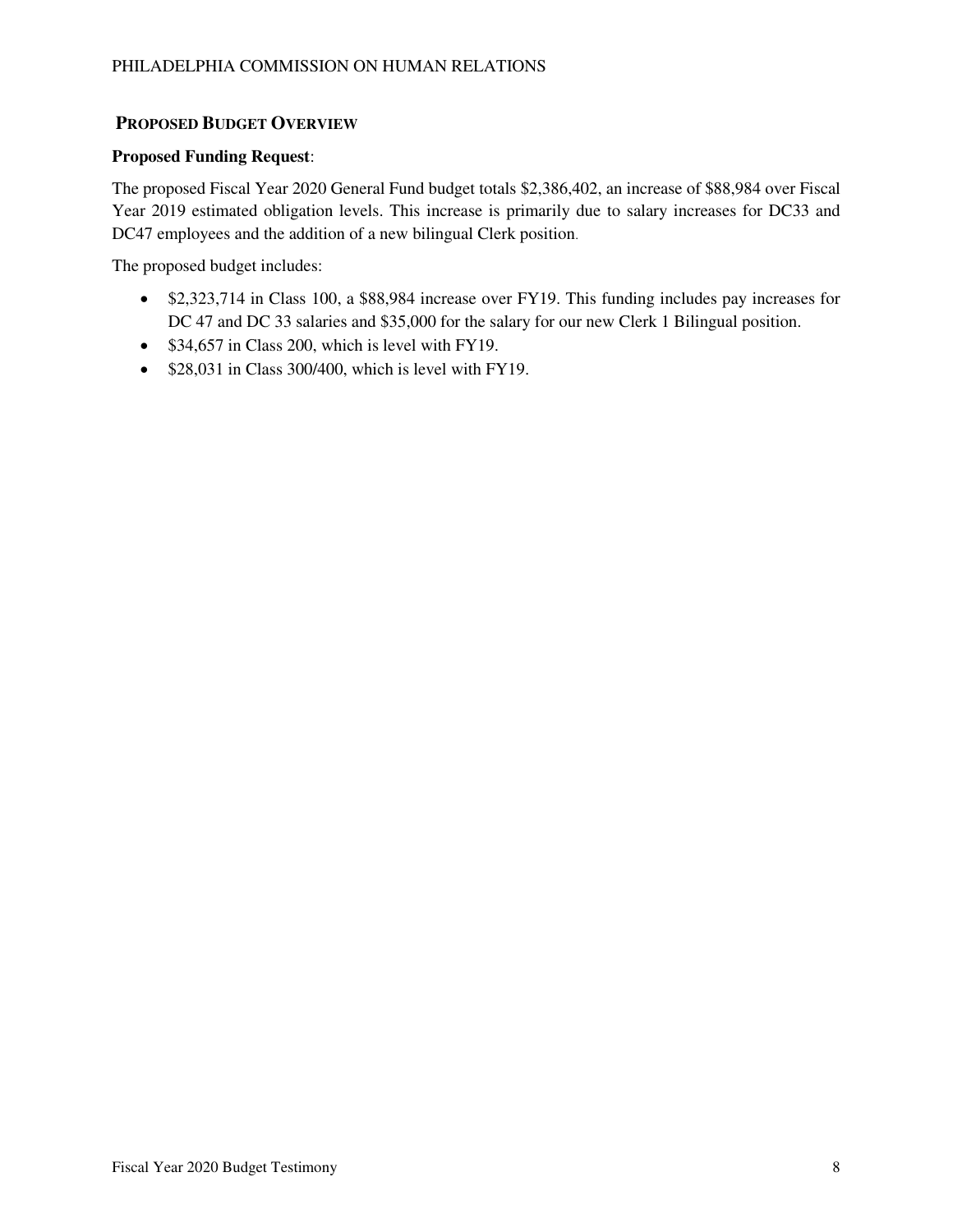### **PROPOSED BUDGET OVERVIEW**

#### **Proposed Funding Request**:

The proposed Fiscal Year 2020 General Fund budget totals \$2,386,402, an increase of \$88,984 over Fiscal Year 2019 estimated obligation levels. This increase is primarily due to salary increases for DC33 and DC47 employees and the addition of a new bilingual Clerk position.

The proposed budget includes:

- \$2,323,714 in Class 100, a \$88,984 increase over FY19. This funding includes pay increases for DC 47 and DC 33 salaries and \$35,000 for the salary for our new Clerk 1 Bilingual position.
- \$34,657 in Class 200, which is level with FY19.
- \$28,031 in Class 300/400, which is level with FY19.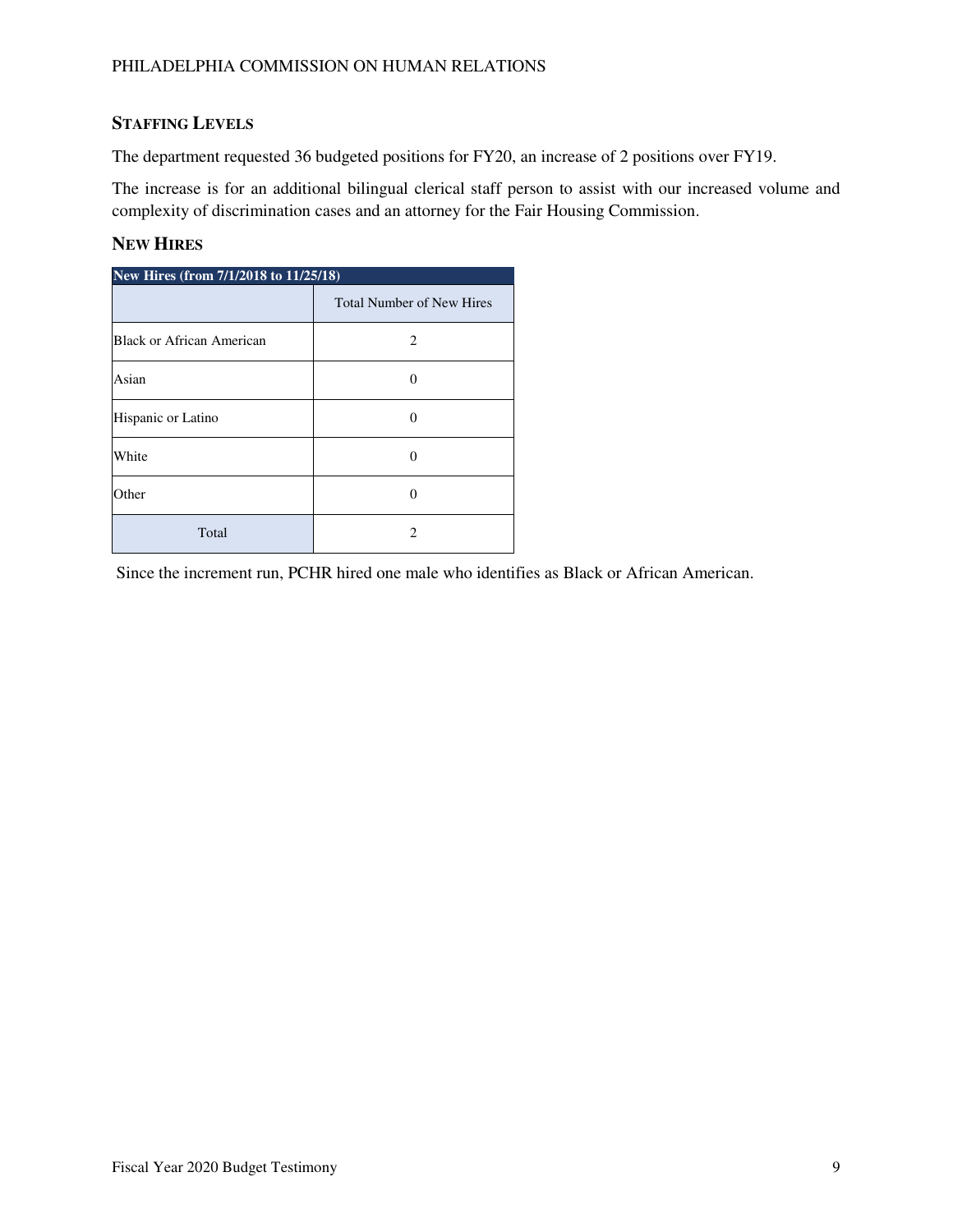### **STAFFING LEVELS**

The department requested 36 budgeted positions for FY20, an increase of 2 positions over FY19.

The increase is for an additional bilingual clerical staff person to assist with our increased volume and complexity of discrimination cases and an attorney for the Fair Housing Commission.

### **NEW HIRES**

| New Hires (from 7/1/2018 to 11/25/18) |                                  |  |  |  |
|---------------------------------------|----------------------------------|--|--|--|
|                                       | <b>Total Number of New Hires</b> |  |  |  |
| Black or African American             | 2                                |  |  |  |
| Asian                                 |                                  |  |  |  |
| Hispanic or Latino                    | 0                                |  |  |  |
| White                                 |                                  |  |  |  |
| Other                                 |                                  |  |  |  |
| Total                                 | 2                                |  |  |  |

Since the increment run, PCHR hired one male who identifies as Black or African American.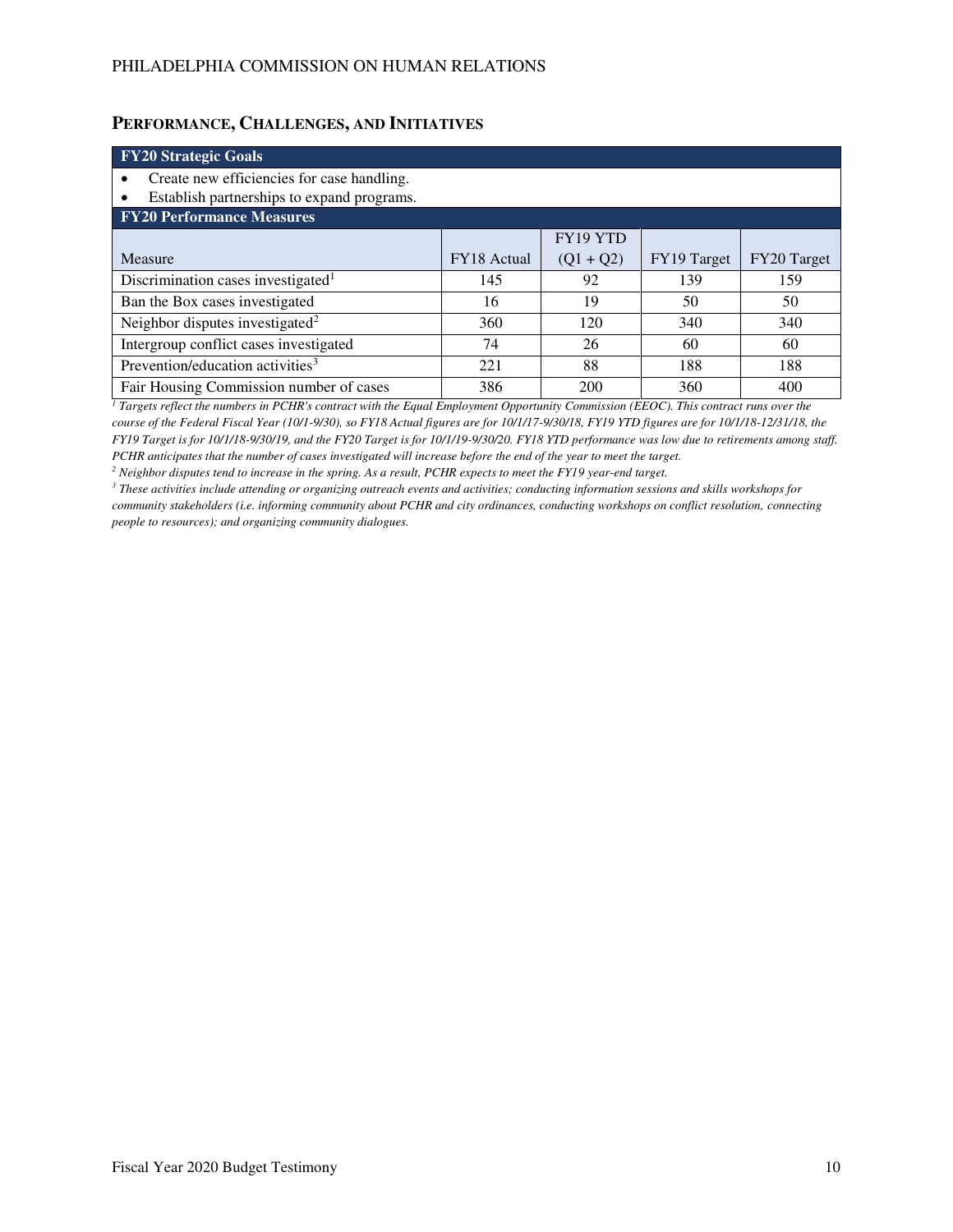### **PERFORMANCE, CHALLENGES, AND INITIATIVES**

| <b>FY20 Strategic Goals</b>                             |                    |             |             |             |  |
|---------------------------------------------------------|--------------------|-------------|-------------|-------------|--|
| Create new efficiencies for case handling.<br>$\bullet$ |                    |             |             |             |  |
| Establish partnerships to expand programs.<br>٠         |                    |             |             |             |  |
| <b>FY20 Performance Measures</b>                        |                    |             |             |             |  |
|                                                         |                    | FY19 YTD    |             |             |  |
| Measure                                                 | <b>FY18</b> Actual | $(Q1 + Q2)$ | FY19 Target | FY20 Target |  |
| Discrimination cases investigated <sup>1</sup>          | 145                | 92          | 139         | 159         |  |
| Ban the Box cases investigated                          | 16                 | 19          | 50          | 50          |  |
| Neighbor disputes investigated <sup>2</sup>             | 360                | 120         | 340         | 340         |  |
| Intergroup conflict cases investigated                  | 74                 | 26          | 60          | 60          |  |
| Prevention/education activities <sup>3</sup>            | 221                | 88          | 188         | 188         |  |
| Fair Housing Commission number of cases                 | 386                | 200         | 360         | 400         |  |

<sup>1</sup> Targets reflect the numbers in PCHR's contract with the Equal Employment Opportunity Commission (EEOC). This contract runs over the *course of the Federal Fiscal Year (10/1-9/30), so FY18 Actual figures are for 10/1/17-9/30/18, FY19 YTD figures are for 10/1/18-12/31/18, the FY19 Target is for 10/1/18-9/30/19, and the FY20 Target is for 10/1/19-9/30/20. FY18 YTD performance was low due to retirements among staff. PCHR anticipates that the number of cases investigated will increase before the end of the year to meet the target.* 

*2 Neighbor disputes tend to increase in the spring. As a result, PCHR expects to meet the FY19 year-end target.* 

*3 These activities include attending or organizing outreach events and activities; conducting information sessions and skills workshops for community stakeholders (i.e. informing community about PCHR and city ordinances, conducting workshops on conflict resolution, connecting people to resources); and organizing community dialogues.*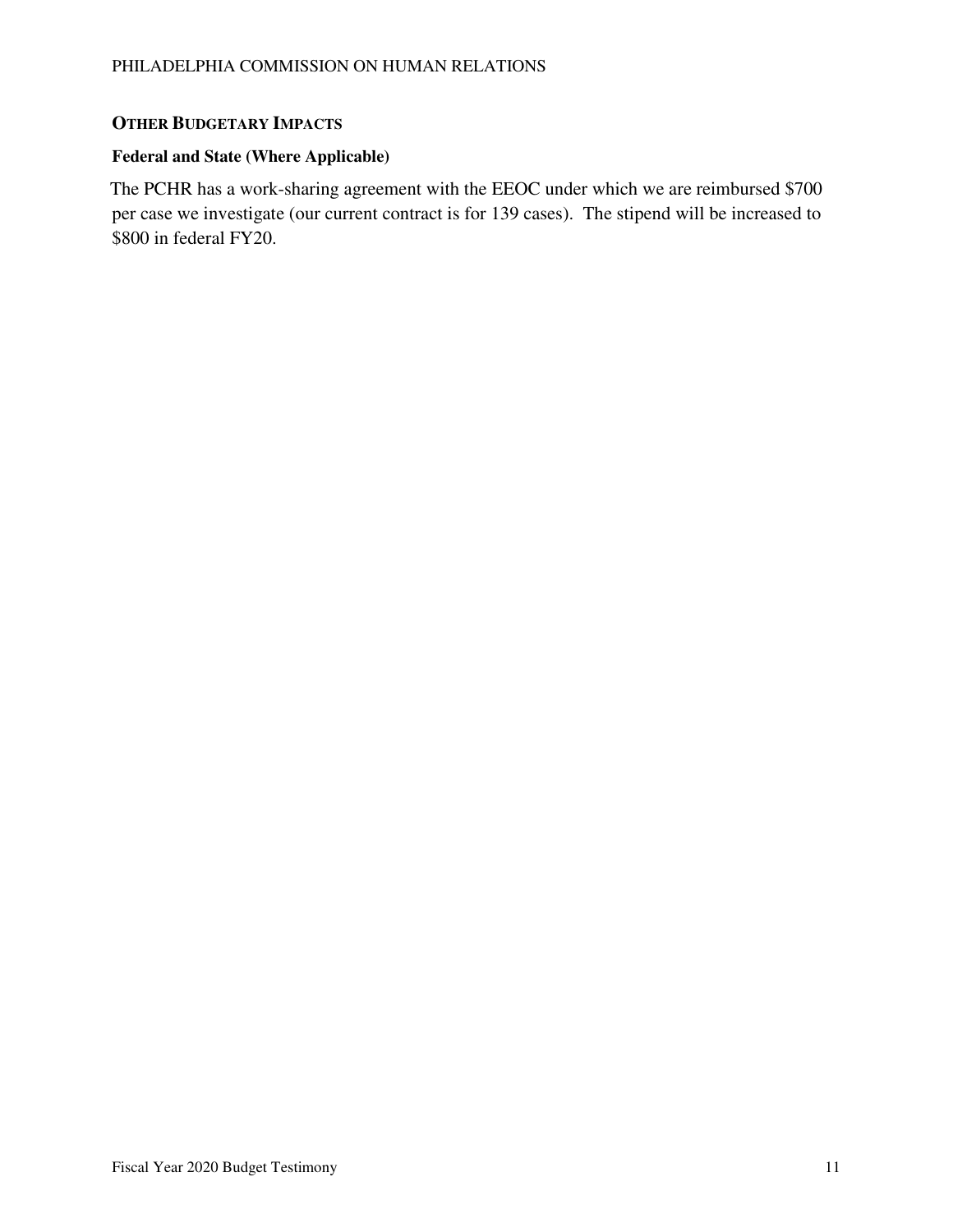### **OTHER BUDGETARY IMPACTS**

## **Federal and State (Where Applicable)**

The PCHR has a work-sharing agreement with the EEOC under which we are reimbursed \$700 per case we investigate (our current contract is for 139 cases). The stipend will be increased to \$800 in federal FY20.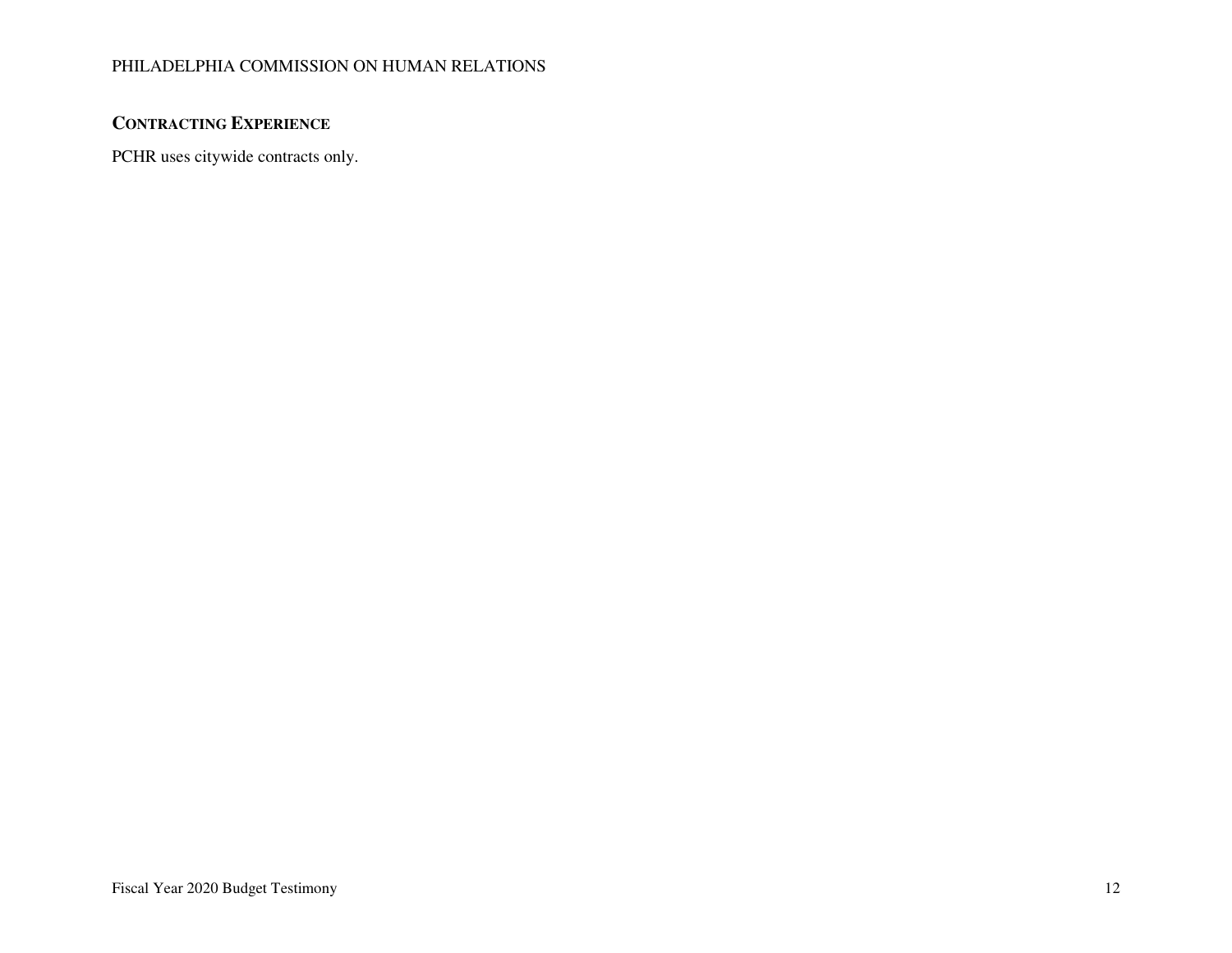### PHILADELPHIA COMMISSION ON HUMAN RELATIONS

### **CONTRACTING EXPERIENCE**

PCHR uses citywide contracts only.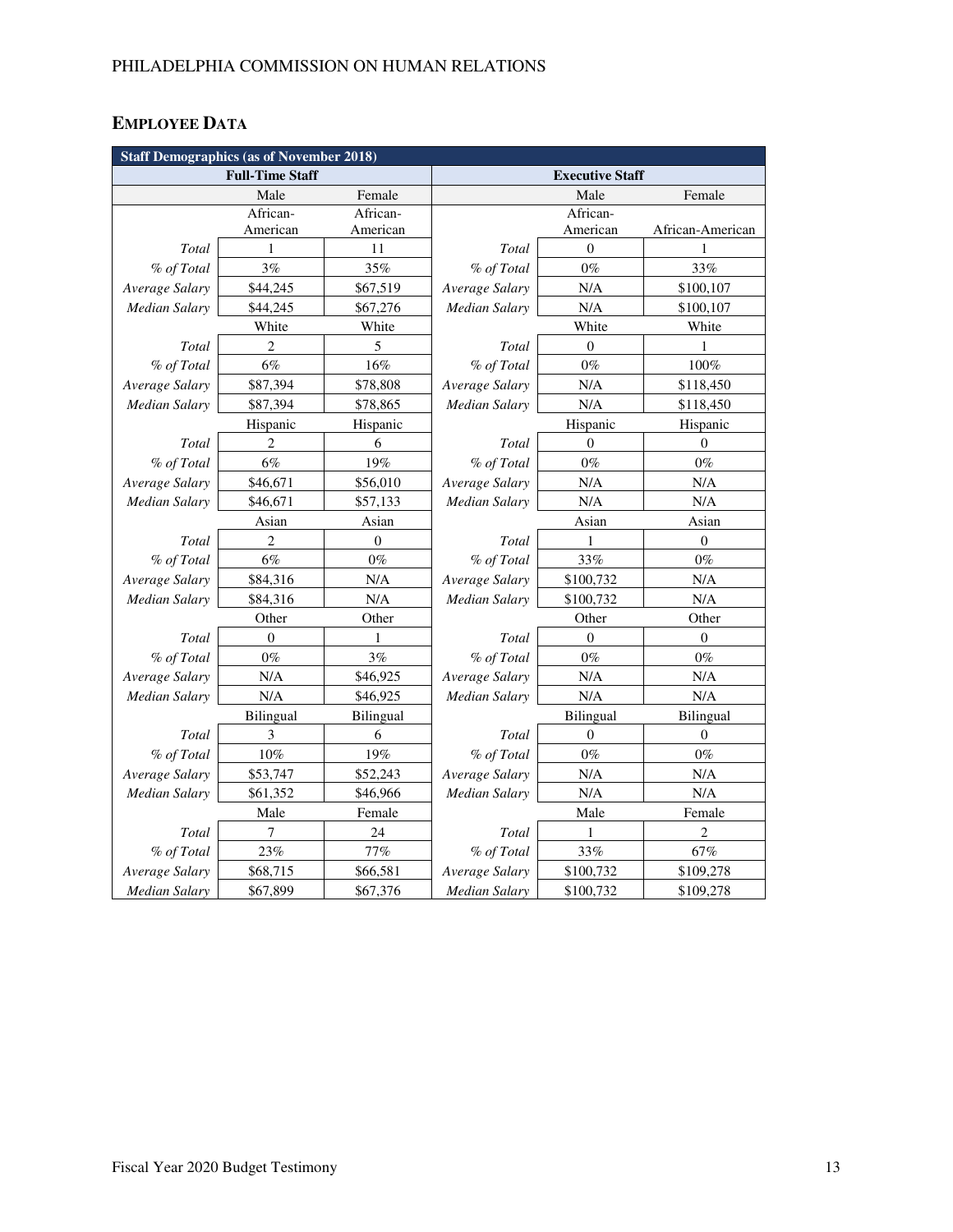# **EMPLOYEE DATA**

| <b>Staff Demographics (as of November 2018)</b> |                |                  |                        |                  |                  |  |
|-------------------------------------------------|----------------|------------------|------------------------|------------------|------------------|--|
| <b>Full-Time Staff</b>                          |                |                  | <b>Executive Staff</b> |                  |                  |  |
|                                                 | Male           | Female           |                        | Male             | Female           |  |
|                                                 | African-       | African-         |                        | African-         |                  |  |
|                                                 | American       | American         |                        | American         | African-American |  |
| Total                                           | 1              | 11               | Total                  | $\boldsymbol{0}$ | 1                |  |
| % of Total                                      | 3%             | 35%              | % of Total             | $0\%$            | 33%              |  |
| Average Salary                                  | \$44,245       | \$67,519         | Average Salary         | N/A              | \$100,107        |  |
| Median Salary                                   | \$44,245       | \$67,276         | <b>Median Salary</b>   | N/A              | \$100,107        |  |
|                                                 | White          | White            |                        | White            | White            |  |
| Total                                           | $\overline{2}$ | 5                | Total                  | $\overline{0}$   | 1                |  |
| % of Total                                      | 6%             | 16%              | % of Total             | $0\%$            | 100%             |  |
| Average Salary                                  | \$87,394       | \$78,808         | Average Salary         | N/A              | \$118,450        |  |
| <b>Median Salary</b>                            | \$87,394       | \$78,865         | Median Salary          | N/A              | \$118,450        |  |
|                                                 | Hispanic       | Hispanic         |                        | Hispanic         | Hispanic         |  |
| Total                                           | 2              | 6                | Total                  | $\theta$         | $\theta$         |  |
| % of Total                                      | 6%             | 19%              | % of Total             | $0\%$            | $0\%$            |  |
| Average Salary                                  | \$46,671       | \$56,010         | Average Salary         | N/A              | N/A              |  |
| <b>Median Salary</b>                            | \$46,671       | \$57,133         | <b>Median Salary</b>   | N/A              | $\rm N/A$        |  |
|                                                 | Asian          | Asian            | Asian                  |                  | Asian            |  |
| Total                                           | $\overline{c}$ | $\boldsymbol{0}$ | Total                  | 1                | $\boldsymbol{0}$ |  |
| % of Total                                      | $6\%$          | $0\%$            | % of Total             | 33%              | $0\%$            |  |
| Average Salary                                  | \$84,316       | N/A              | Average Salary         | \$100,732        | N/A              |  |
| Median Salary                                   | \$84,316       | N/A              | Median Salary          | \$100,732        | N/A              |  |
|                                                 | Other          | Other            | Other                  |                  | Other            |  |
| Total                                           | $\mathbf{0}$   | 1                | Total                  | $\Omega$         | $\mathbf{0}$     |  |
| % of Total                                      | $0\%$          | 3%               | % of Total             | $0\%$            | $0\%$            |  |
| Average Salary                                  | N/A            | \$46,925         | Average Salary         | N/A              | N/A              |  |
| <b>Median Salary</b>                            | N/A            | \$46,925         | Median Salary          | N/A              | N/A              |  |
|                                                 | Bilingual      | Bilingual        | Bilingual              |                  | Bilingual        |  |
| <b>Total</b>                                    | 3              | 6                | Total                  | $\boldsymbol{0}$ | $\mathbf{0}$     |  |
| % of Total                                      | 10%            | 19%              | % of Total             | $0\%$            | $0\%$            |  |
| Average Salary                                  | \$53,747       | \$52,243         | Average Salary         | N/A              | N/A              |  |
| Median Salary                                   | \$61,352       | \$46,966         | Median Salary          | N/A              | N/A              |  |
|                                                 | Male           | Female           |                        | Male             | Female           |  |
| Total                                           | 7              | 24               | Total                  | 1                | $\overline{c}$   |  |
| % of Total                                      | 23%            | 77%              | % of Total             | 33%              | 67%              |  |
| Average Salary                                  | \$68,715       | \$66,581         | Average Salary         | \$100,732        | \$109,278        |  |
| Median Salary                                   | \$67,899       | \$67,376         | <b>Median Salary</b>   | \$100,732        | \$109,278        |  |